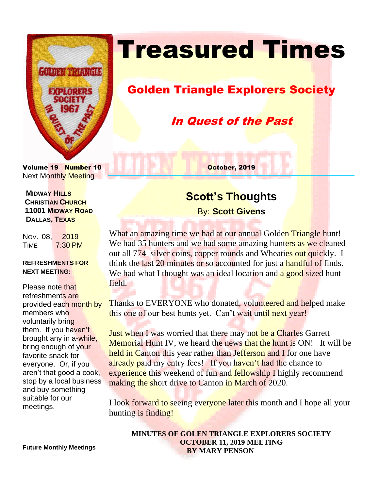

## **Treasured Times**

## Golden Triangle Explorers Society

## In Quest of the Past

Volume 19 Number 10 October, 2019 Next Monthly Meeting

 **MIDWAY HILLS CHRISTIAN CHURCH 11001 MIDWAY ROAD DALLAS, TEXAS**

NOV. 08, 2019 TIME 7:30 PM

#### **REFRESHMENTS FOR NEXT MEETING:**

Please note that refreshments are provided each month by members who voluntarily bring them. If you haven't brought any in a-while, bring enough of your favorite snack for everyone. Or, if you aren't that good a cook, stop by a local business and buy something suitable for our meetings.



## **Scott's Thoughts**

By: **Scott Givens**

What an amazing time we had at our annual Golden Triangle hunt! We had 35 hunters and we had some amazing hunters as we cleaned out all 774 silver coins, copper rounds and Wheaties out quickly. I think the last 20 minutes or so accounted for just a handful of finds. We had what I thought was an ideal location and a good sized hunt field.

Thanks to EVERYONE who donated, volunteered and helped make this one of our best hunts yet. Can't wait until next year!

**Just when I was worried that there may not be a Charles Garrett** Memorial Hunt IV, we heard the news that the hunt is ON! It will be held in Canton this year rather than Jefferson and I for one have already paid my entry fees! If you haven't had the chance to experience this weekend of fun and fellowship I highly recommend making the short drive to Canton in March of 2020.

I look forward to seeing everyone later this month and I hope all your hunting is finding!

**MINUTES OF GOLEN TRIANGLE EXPLORERS SOCIETY OCTOBER 11, 2019 MEETING BY MARY PENSON** 

**Future Monthly Meetings**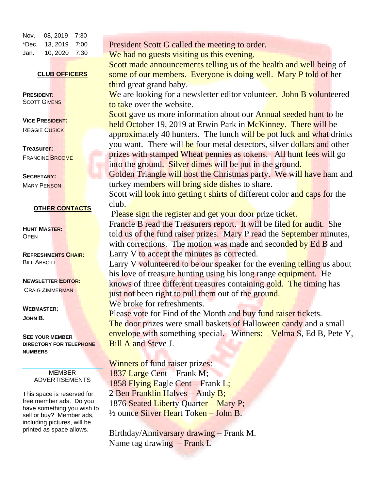| Nov.  | 08.2019  | 7:30 |
|-------|----------|------|
| *Dec. | 13. 2019 | 7:00 |
| Jan.  | 10, 2020 | 7:30 |

#### **CLUB OFFICERS**

**PRESIDENT: SCOTT GIVENS** 

**VICE PRESIDENT:**  REGGIE CUSICK

**Treasurer:**  FRANCINE BROOME

**SECRETARY: MARY PENSON** 

#### **OTHER CONTACTS**

**HUNT MASTER: OPEN** 

**REFRESHMENTS CHAIR: BILL ABBOTT** 

### **NEWSLETTER EDITOR:**

CRAIG ZIMMERMAN

**WEBMASTER: JOHN B.**

**SEE YOUR MEMBER DIRECTORY FOR TELEPHONE NUMBERS**

#### MEMBER ADVERTISEMENTS

This space is reserved for free member ads. Do you have something you wish to sell or buy? Member ads, including pictures, will be printed as space allows.

President Scott G called the meeting to order.

We had no guests visiting us this evening.

Scott made announcements telling us of the health and well being of some of our members. Everyone is doing well. Mary P told of her third great grand baby.

We are looking for a newsletter editor volunteer. John B volunteered to take over the website.

Scott gave us more information about our **Annual seeded hunt to be** held October 19, 2019 at Erwin Park in McKinney. There will be approximately 40 hunters. The lunch will be pot luck and what drinks you want. There will be four metal detectors, silver dollars and other prizes with stamped Wheat pennies as tokens. All hunt fees will go into the ground. Silver dimes will be put in the ground.

Golden Triangle will host the Christmas party. We will have ham and turkey members will bring side dishes to share.

Scott will look into getting t shirts of different color and caps for the club.

Please sign the register and get your door prize ticket.

Francie B read the Treasurers report. It will be filed for audit. She told us of the fund raiser prizes. Mary P read the September minutes, with corrections. The motion was made and seconded by Ed B and Larry V to accept the minutes as corrected.

Larry V volunteered to be our speaker for the evening telling us about his love of treasure hunting using his long range equipment. He knows of three different treasures containing gold. The timing has just not been right to pull them out of the ground. We broke for refreshments.

Please vote for Find of the Month and buy fund raiser tickets. The door prizes were small baskets of Halloween candy and a small envelope with something special. Winners: Velma S, Ed B, Pete Y, Bill A and Steve J.

Winners of fund raiser prizes: 1837 Large Cent – Frank M; 1858 Flying Eagle Cent – Frank L; 2 Ben Franklin Halves – Andy B; 1876 Seated Liberty Quarter – Mary P;  $\frac{1}{2}$  ounce Silver Heart Token – John B.

Birthday/Annivarsary drawing – Frank M. Name tag drawing – Frank L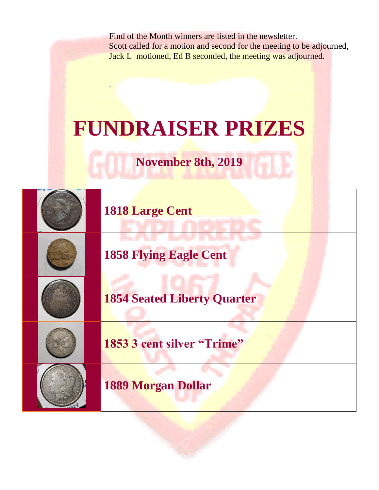Find of the Month winners are listed in the newsletter. Scott called for a motion and second for the meeting to be adjourned, Jack L motioned, Ed B seconded, the meeting was adjourned.

# **FUNDRAISER PRIZES**

.

**November 8th, 2019**

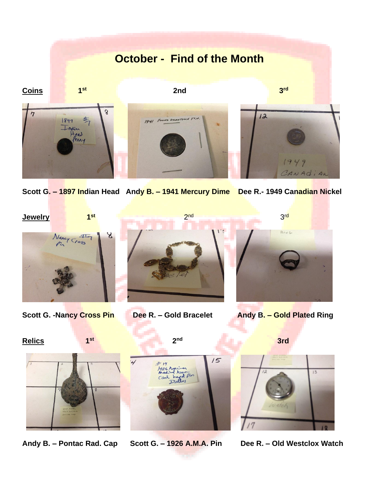

**Scott G. – 1897 Indian Head Andy B. – 1941 Mercury Dime Dee R.- 1949 Canadian Nickel**



**Andy B. – Pontac Rad. Cap Scott G. – 1926 A.M.A. Pin Dee R. – Old Westclox Watch**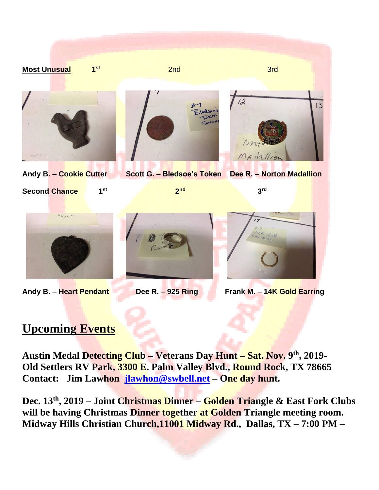

## **Upcoming Events**

**Austin Medal Detecting Club – Veterans Day Hunt – Sat. Nov. 9th, 2019- Old Settlers RV Park, 3300 E. Palm Valley Blvd., Round Rock, TX 78665 Contact: Jim Lawhon [jlawhon@swbell.net](mailto:jlawhon@swbell.net) – One day hunt.**

**Dec. 13th, 2019 – Joint Christmas Dinner – Golden Triangle & East Fork Clubs will be having Christmas Dinner together at Golden Triangle meeting room. Midway Hills Christian Church,11001 Midway Rd., Dallas, TX – 7:00 PM –**